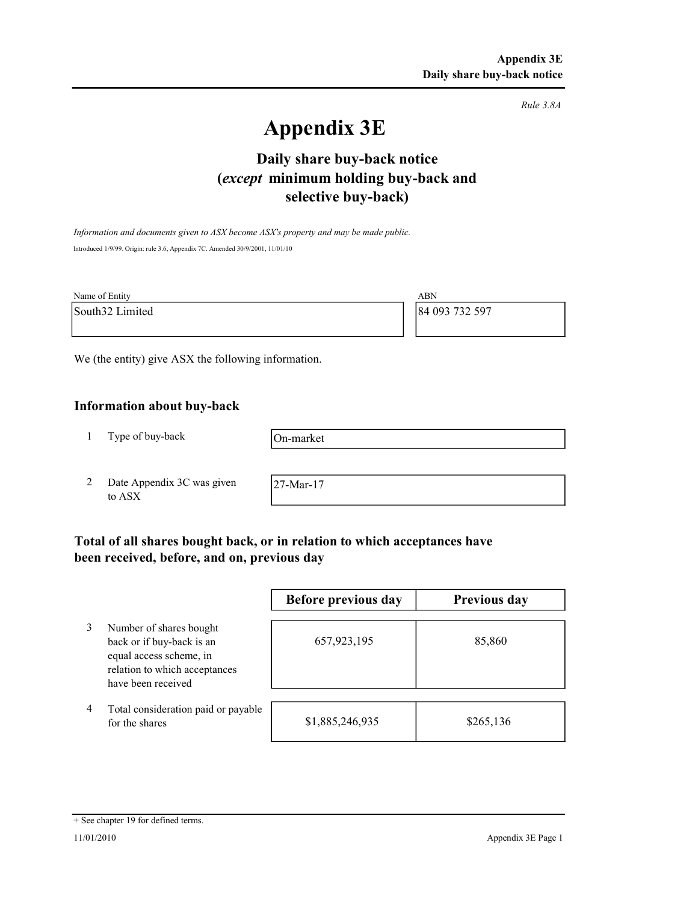Rule 3.8A

# Appendix 3E

# selective buy-back) Daily share buy-back notice (except minimum holding buy-back and

Information and documents given to ASX become ASX's property and may be made public. Introduced 1/9/99. Origin: rule 3.6, Appendix 7C. Amended 30/9/2001, 11/01/10

| Name of Entity  | ABN            |
|-----------------|----------------|
| South32 Limited | 84 093 732 597 |
|                 |                |

We (the entity) give ASX the following information.

# Information about buy-back

1 Type of buy-back

On-market

2 Date Appendix 3C was given to ASX

27-Mar-17

# Total of all shares bought back, or in relation to which acceptances have been received, before, and on, previous day

|   |                                                                                                                                        | Before previous day | Previous day |
|---|----------------------------------------------------------------------------------------------------------------------------------------|---------------------|--------------|
|   | Number of shares bought<br>back or if buy-back is an<br>equal access scheme, in<br>relation to which acceptances<br>have been received | 657,923,195         | 85,860       |
| 4 | Total consideration paid or payable<br>for the shares                                                                                  | \$1,885,246,935     | \$265,136    |

#### + See chapter 19 for defined terms.